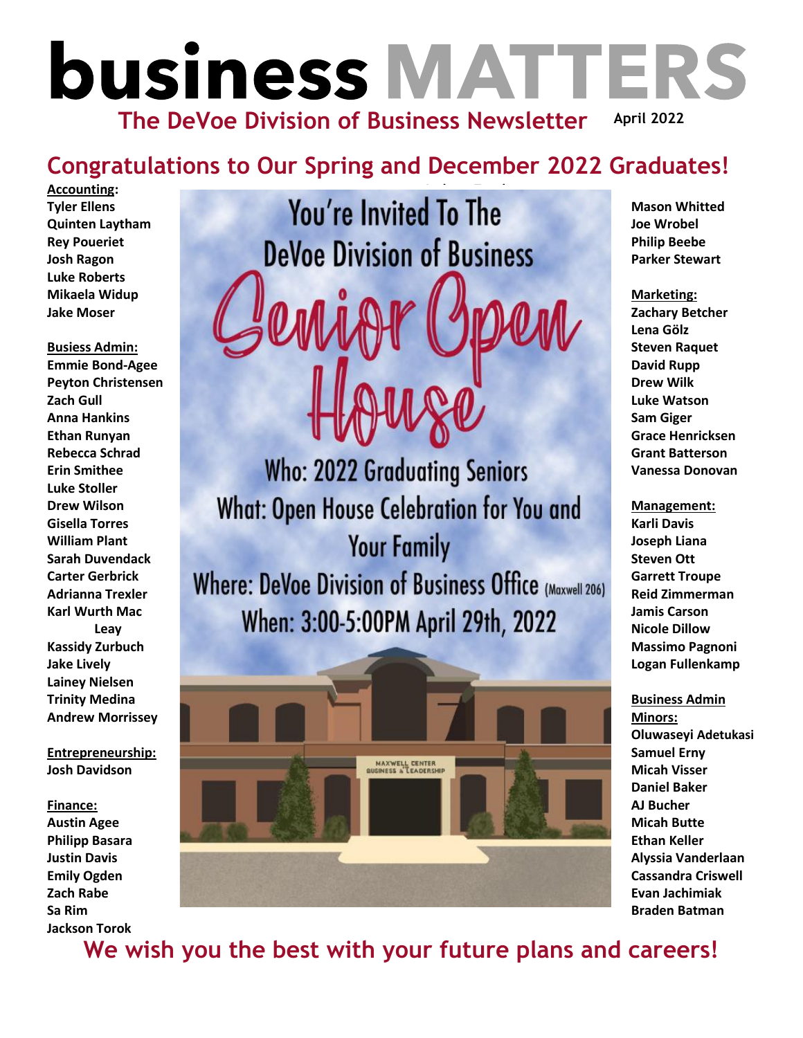# **business MATTERS April 2022 The DeVoe Division of Business Newsletter**

#### **Congratulations to Our Spring and December 2022 Graduates!**

**Accounting: Tyler Ellens Quinten Laytham Rey Poueriet Josh Ragon Luke Roberts Mikaela Widup Jake Moser**

**Busiess Admin: Emmie Bond-Agee Peyton Christensen Zach Gull Anna Hankins Ethan Runyan Rebecca Schrad Erin Smithee Luke Stoller Drew Wilson Gisella Torres William Plant Sarah Duvendack Carter Gerbrick Adrianna Trexler Karl Wurth Mac Leay Kassidy Zurbuch Jake Lively Lainey Nielsen Trinity Medina Andrew Morrissey**

**Entrepreneurship: Josh Davidson**

#### **Finance:**

**Austin Agee Philipp Basara Justin Davis Emily Ogden Zach Rabe Sa Rim Jackson Torok**

# **You're Invited To The DeVoe Division of Business**

**Who: 2022 Graduating Seniors What: Open House Celebration for You and Your Family** Where: DeVoe Division of Business Office (Maxwell 206) When: 3:00-5:00PM April 29th, 2022



**Mason Whitted Joe Wrobel Philip Beebe Parker Stewart**

**Marketing: Zachary Betcher Lena Gölz Steven Raquet David Rupp Drew Wilk Luke Watson Sam Giger Grace Henricksen Grant Batterson Vanessa Donovan**

**Management: Karli Davis Joseph Liana Steven Ott Garrett Troupe Reid Zimmerman Jamis Carson Nicole Dillow Massimo Pagnoni Logan Fullenkamp**

**Business Admin Minors: Oluwaseyi Adetukasi Samuel Erny Micah Visser Daniel Baker AJ Bucher Micah Butte Ethan Keller Alyssia Vanderlaan Cassandra Criswell Evan Jachimiak Braden Batman**

**We wish you the best with your future plans and careers!**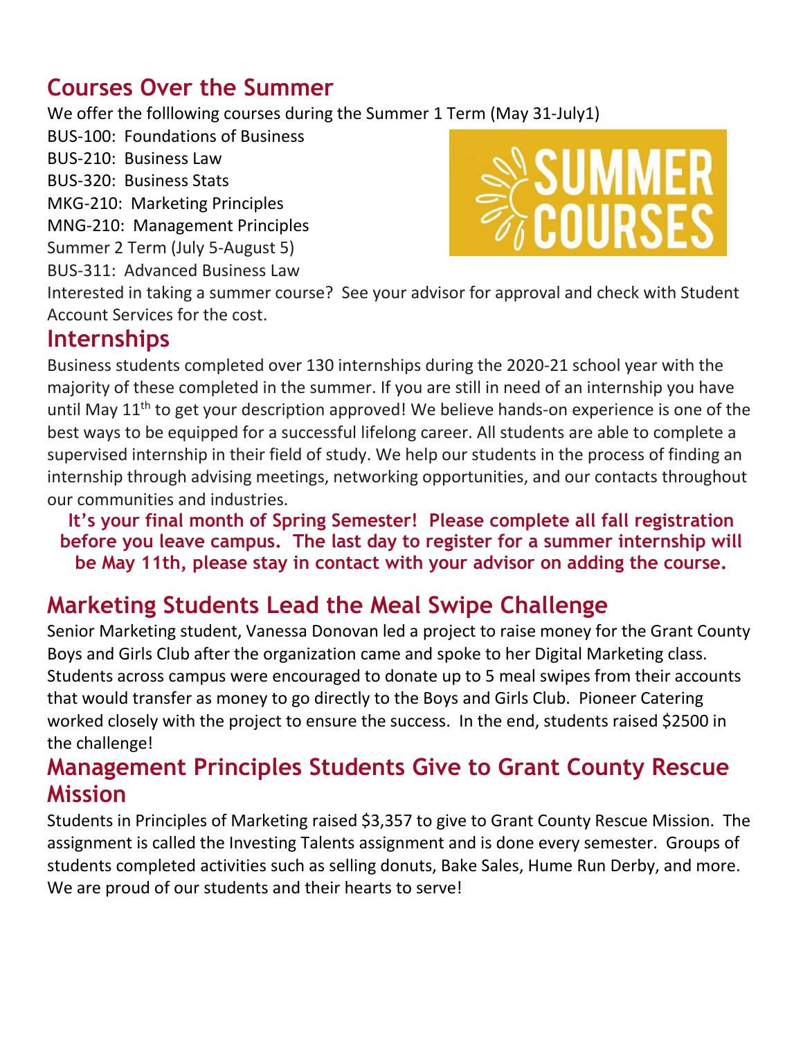## **Courses Over the Summer**

We offer the folllowing courses during the Summer 1 Term (May 31-July1)

BUS-100: Foundations of Business BUS-210: Business Law BUS-320: Business Stats MKG-210: Marketing Principles MNG-210: Management Principles Summer 2 Term (July 5-August 5) BUS-311: Advanced Business Law



Interested in taking a summer course? See your advisor for approval and check with Student Account Services for the cost.

#### **Internships**

Business students completed over 130 internships during the 2020-21 school year with the majority of these completed in the summer. If you are still in need of an internship you have until May 11<sup>th</sup> to get your description approved! We believe hands-on experience is one of the best ways to be equipped for a successful lifelong career. All students are able to complete a supervised internship in their field of study. We help our students in the process of finding an internship through advising meetings, networking opportunities, and our contacts throughout our communities and industries.

**It's your final month of Spring Semester! Please complete all fall registration before you leave campus. The last day to register for a summer internship will be May 11th, please stay in contact with your advisor on adding the course.**

## **Marketing Students Lead the Meal Swipe Challenge**

Senior Marketing student, Vanessa Donovan led a project to raise money for the Grant County Boys and Girls Club after the organization came and spoke to her Digital Marketing class. Students across campus were encouraged to donate up to 5 meal swipes from their accounts that would transfer as money to go directly to the Boys and Girls Club. Pioneer Catering worked closely with the project to ensure the success. In the end, students raised \$2500 in the challenge!

#### **Management Principles Students Give to Grant County Rescue Mission**

Students in Principles of Marketing raised \$3,357 to give to Grant County Rescue Mission. The assignment is called the Investing Talents assignment and is done every semester. Groups of students completed activities such as selling donuts, Bake Sales, Hume Run Derby, and more. We are proud of our students and their hearts to serve!